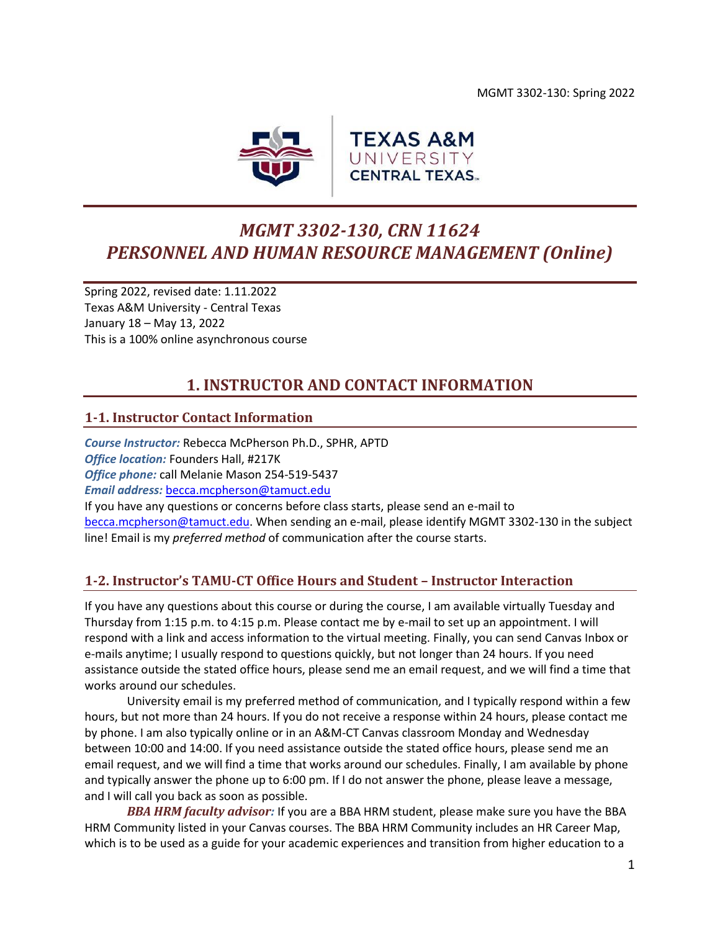

## *MGMT 3302-130, CRN 11624 PERSONNEL AND HUMAN RESOURCE MANAGEMENT (Online)*

Spring 2022, revised date: 1.11.2022 Texas A&M University - Central Texas January 18 – May 13, 2022 This is a 100% online asynchronous course

## **1. INSTRUCTOR AND CONTACT INFORMATION**

## <span id="page-0-0"></span>**1-1. Instructor Contact Information**

*Course Instructor:* Rebecca McPherson Ph.D., SPHR, APTD *Office location:* Founders Hall, #217K *Office phone:* call Melanie Mason 254-519-5437 *Email address:* [becca.mcpherson@tamuct.edu](mailto:becca.mcpherson@tamuct.edu) If you have any questions or concerns before class starts, please send an e-mail to

[becca.mcpherson@tamuct.edu.](mailto:becca.mcpherson@tamuct.edu) When sending an e-mail, please identify MGMT 3302-130 in the subject line! Email is my *preferred method* of communication after the course starts.

## **1-2. Instructor's TAMU-CT Office Hours and Student – Instructor Interaction**

If you have any questions about this course or during the course, I am available virtually Tuesday and Thursday from 1:15 p.m. to 4:15 p.m. Please contact me by e-mail to set up an appointment. I will respond with a link and access information to the virtual meeting. Finally, you can send Canvas Inbox or e-mails anytime; I usually respond to questions quickly, but not longer than 24 hours. If you need assistance outside the stated office hours, please send me an email request, and we will find a time that works around our schedules.

University email is my preferred method of communication, and I typically respond within a few hours, but not more than 24 hours. If you do not receive a response within 24 hours, please contact me by phone. I am also typically online or in an A&M-CT Canvas classroom Monday and Wednesday between 10:00 and 14:00. If you need assistance outside the stated office hours, please send me an email request, and we will find a time that works around our schedules. Finally, I am available by phone and typically answer the phone up to 6:00 pm. If I do not answer the phone, please leave a message, and I will call you back as soon as possible.

*BBA HRM faculty advisor:* If you are a BBA HRM student, please make sure you have the BBA HRM Community listed in your Canvas courses. The BBA HRM Community includes an HR Career Map, which is to be used as a guide for your academic experiences and transition from higher education to a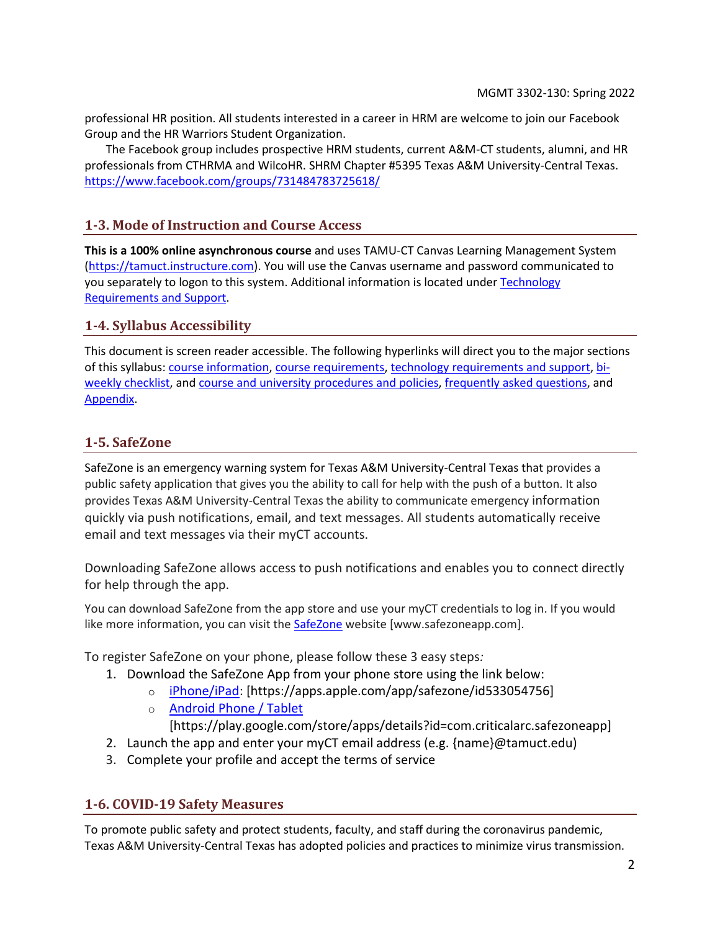professional HR position. All students interested in a career in HRM are welcome to join our Facebook Group and the HR Warriors Student Organization.

The Facebook group includes prospective HRM students, current A&M-CT students, alumni, and HR professionals from CTHRMA and WilcoHR. SHRM Chapter #5395 Texas A&M University-Central Texas. <https://www.facebook.com/groups/731484783725618/>

## **1-3. Mode of Instruction and Course Access**

**This is a 100% online asynchronous course** and uses TAMU-CT Canvas Learning Management System [\(https://tamuct.instructure.com\)](https://tamuct.instructure.com/). You will use the Canvas username and password communicated to you separately to logon to this system. Additional information is located under Technology [Requirements and Support.](#page-7-0)

## **1-4. Syllabus Accessibility**

This document is screen reader accessible. The following hyperlinks will direct you to the major sections of this syllabus: course [information,](#page-2-0) [course requirements,](#page-3-0) [technology requirements and support,](#page-7-1) [bi](#page-8-0)[weekly checklist,](#page-8-0) and [course and university procedures and policies,](#page-13-0) [frequently asked questions,](#page-15-0) and [Appendix.](#page-18-0)

## **1-5. SafeZone**

SafeZone is an emergency warning system for Texas A&M University-Central Texas that provides a public safety application that gives you the ability to call for help with the push of a button. It also provides Texas A&M University-Central Texas the ability to communicate emergency information quickly via push notifications, email, and text messages. All students automatically receive email and text messages via their myCT accounts.

Downloading SafeZone allows access to push notifications and enables you to connect directly for help through the app.

You can download SafeZone from the app store and use your myCT credentials to log in. If you would like more information, you can visit the **SafeZone** website [www.safezoneapp.com].

To register SafeZone on your phone, please follow these 3 easy steps*:*

- 1. Download the SafeZone App from your phone store using the link below:
	- o [iPhone/iPad:](https://apps.apple.com/app/safezone/id533054756) [https://apps.apple.com/app/safezone/id533054756]
	- o [Android Phone / Tablet](https://play.google.com/store/apps/details?id=com.criticalarc.safezoneapp) [https://play.google.com/store/apps/details?id=com.criticalarc.safezoneapp]
- 2. Launch the app and enter your myCT email address (e.g. {name}@tamuct.edu)
- 3. Complete your profile and accept the terms of service

## **1-6. COVID-19 Safety Measures**

To promote public safety and protect students, faculty, and staff during the coronavirus pandemic, Texas A&M University-Central Texas has adopted policies and practices to minimize virus transmission.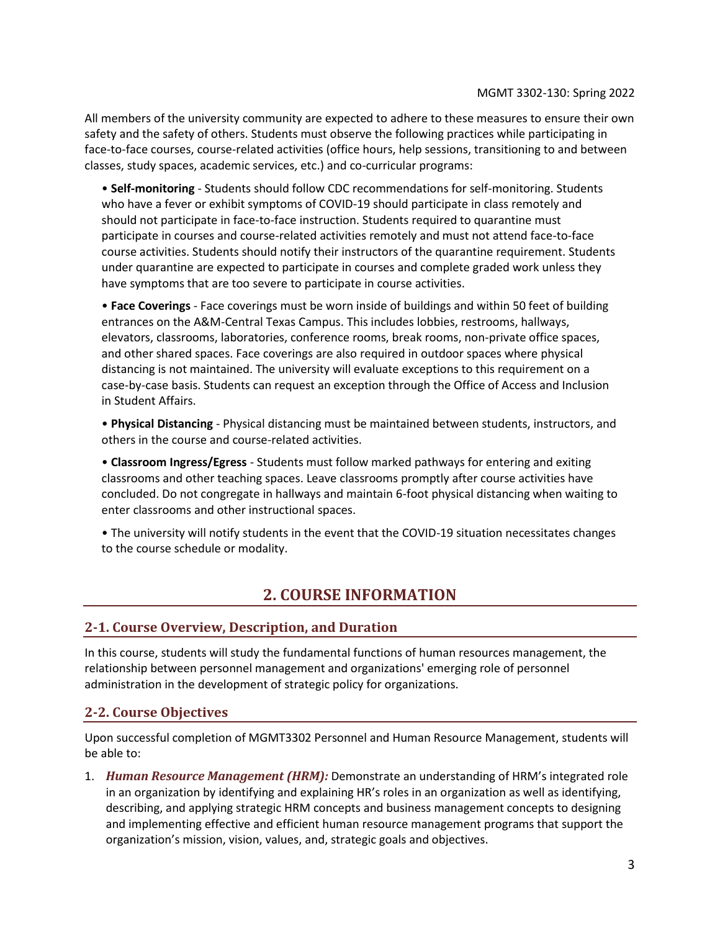#### MGMT 3302-130: Spring 2022

All members of the university community are expected to adhere to these measures to ensure their own safety and the safety of others. Students must observe the following practices while participating in face-to-face courses, course-related activities (office hours, help sessions, transitioning to and between classes, study spaces, academic services, etc.) and co-curricular programs:

• **Self-monitoring** - Students should follow CDC recommendations for self-monitoring. Students who have a fever or exhibit symptoms of COVID-19 should participate in class remotely and should not participate in face-to-face instruction. Students required to quarantine must participate in courses and course-related activities remotely and must not attend face-to-face course activities. Students should notify their instructors of the quarantine requirement. Students under quarantine are expected to participate in courses and complete graded work unless they have symptoms that are too severe to participate in course activities.

• **Face Coverings** - Face coverings must be worn inside of buildings and within 50 feet of building entrances on the A&M-Central Texas Campus. This includes lobbies, restrooms, hallways, elevators, classrooms, laboratories, conference rooms, break rooms, non-private office spaces, and other shared spaces. Face coverings are also required in outdoor spaces where physical distancing is not maintained. The university will evaluate exceptions to this requirement on a case-by-case basis. Students can request an exception through the Office of Access and Inclusion in Student Affairs.

• **Physical Distancing** - Physical distancing must be maintained between students, instructors, and others in the course and course-related activities.

• **Classroom Ingress/Egress** - Students must follow marked pathways for entering and exiting classrooms and other teaching spaces. Leave classrooms promptly after course activities have concluded. Do not congregate in hallways and maintain 6-foot physical distancing when waiting to enter classrooms and other instructional spaces.

<span id="page-2-0"></span>• The university will notify students in the event that the COVID-19 situation necessitates changes to the course schedule or modality.

## **2. COURSE INFORMATION**

## **2-1. Course Overview, Description, and Duration**

In this course, students will study the fundamental functions of human resources management, the relationship between personnel management and organizations' emerging role of personnel administration in the development of strategic policy for organizations.

## **2-2. Course Objectives**

Upon successful completion of MGMT3302 Personnel and Human Resource Management, students will be able to:

1. *Human Resource Management (HRM):* Demonstrate an understanding of HRM's integrated role in an organization by identifying and explaining HR's roles in an organization as well as identifying, describing, and applying strategic HRM concepts and business management concepts to designing and implementing effective and efficient human resource management programs that support the organization's mission, vision, values, and, strategic goals and objectives.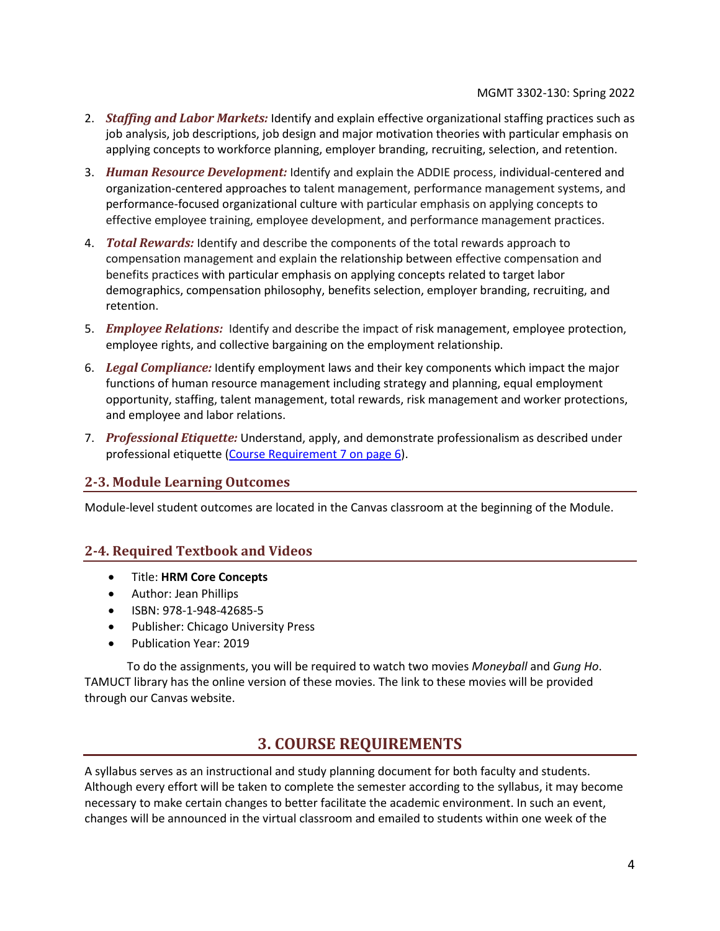- 2. *Staffing and Labor Markets:* Identify and explain effective organizational staffing practices such as job analysis, job descriptions, job design and major motivation theories with particular emphasis on applying concepts to workforce planning, employer branding, recruiting, selection, and retention.
- 3. *Human Resource Development:* Identify and explain the ADDIE process, individual-centered and organization-centered approaches to talent management, performance management systems, and performance-focused organizational culture with particular emphasis on applying concepts to effective employee training, employee development, and performance management practices.
- 4. *Total Rewards:* Identify and describe the components of the total rewards approach to compensation management and explain the relationship between effective compensation and benefits practices with particular emphasis on applying concepts related to target labor demographics, compensation philosophy, benefits selection, employer branding, recruiting, and retention.
- 5. *Employee Relations:* Identify and describe the impact of risk management, employee protection, employee rights, and collective bargaining on the employment relationship.
- 6. *Legal Compliance:* Identify employment laws and their key components which impact the major functions of human resource management including strategy and planning, equal employment opportunity, staffing, talent management, total rewards, risk management and worker protections, and employee and labor relations.
- 7. *Professional Etiquette:* Understand, apply, and demonstrate professionalism as described under professional etiquette [\(Course Requirement 7](#page-5-0) on page 6).

## **2-3. Module Learning Outcomes**

Module-level student outcomes are located in the Canvas classroom at the beginning of the Module.

## **2-4. Required Textbook and Videos**

- Title: **HRM Core Concepts**
- Author: Jean Phillips
- ISBN: 978-1-948-42685-5
- Publisher: Chicago University Press
- Publication Year: 2019

<span id="page-3-0"></span>To do the assignments, you will be required to watch two movies *Moneyball* and *Gung Ho*. TAMUCT library has the online version of these movies. The link to these movies will be provided through our Canvas website.

## **3. COURSE REQUIREMENTS**

A syllabus serves as an instructional and study planning document for both faculty and students. Although every effort will be taken to complete the semester according to the syllabus, it may become necessary to make certain changes to better facilitate the academic environment. In such an event, changes will be announced in the virtual classroom and emailed to students within one week of the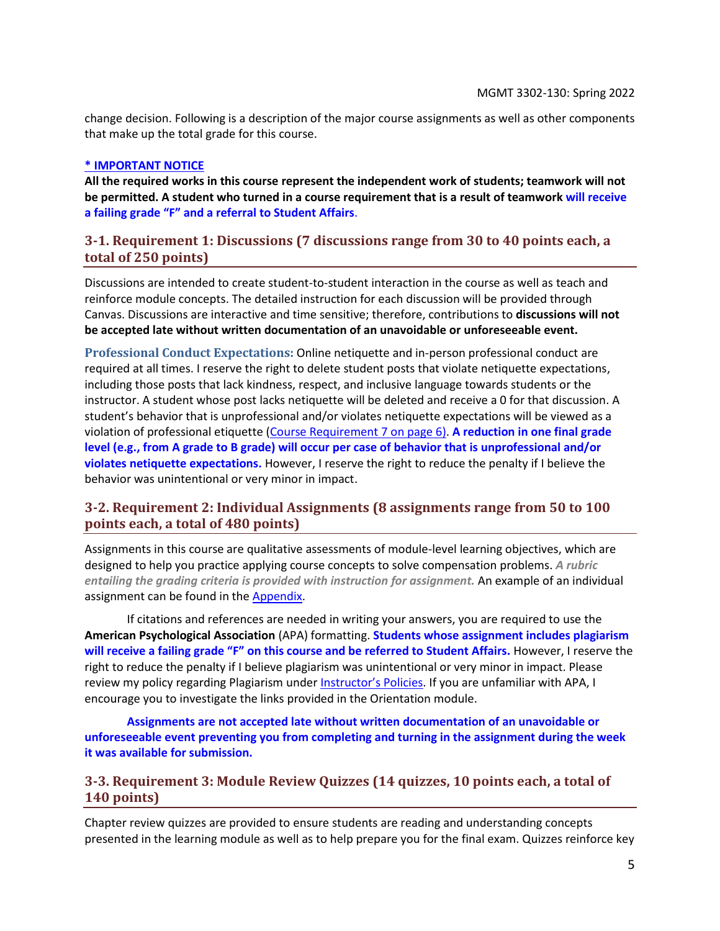change decision. Following is a description of the major course assignments as well as other components that make up the total grade for this course.

#### **\* IMPORTANT NOTICE**

**All the required works in this course represent the independent work of students; teamwork will not be permitted. A student who turned in a course requirement that is a result of teamwork will receive a failing grade "F" and a referral to Student Affairs**.

## **3-1. Requirement 1: Discussions (7 discussions range from 30 to 40 points each, a total of 250 points)**

Discussions are intended to create student-to-student interaction in the course as well as teach and reinforce module concepts. The detailed instruction for each discussion will be provided through Canvas. Discussions are interactive and time sensitive; therefore, contributions to **discussions will not be accepted late without written documentation of an unavoidable or unforeseeable event.**

**Professional Conduct Expectations:** Online netiquette and in-person professional conduct are required at all times. I reserve the right to delete student posts that violate netiquette expectations, including those posts that lack kindness, respect, and inclusive language towards students or the instructor. A student whose post lacks netiquette will be deleted and receive a 0 for that discussion. A student's behavior that is unprofessional and/or violates netiquette expectations will be viewed as a violation of professional etiquette [\(Course Requirement 7](#page-5-0) on page 6). **A reduction in one final grade level (e.g., from A grade to B grade) will occur per case of behavior that is unprofessional and/or violates netiquette expectations.** However, I reserve the right to reduce the penalty if I believe the behavior was unintentional or very minor in impact.

## **3-2. Requirement 2: Individual Assignments (8 assignments range from 50 to 100 points each, a total of 480 points)**

Assignments in this course are qualitative assessments of module-level learning objectives, which are designed to help you practice applying course concepts to solve compensation problems. *A rubric entailing the grading criteria is provided with instruction for assignment.* An example of an individual assignment can be found in th[e Appendix.](#page-18-0)

If citations and references are needed in writing your answers, you are required to use the **American Psychological Association** (APA) formatting. **Students whose assignment includes plagiarism will receive a failing grade "F" on this course and be referred to Student Affairs.** However, I reserve the right to reduce the penalty if I believe plagiarism was unintentional or very minor in impact. Please review my policy regarding Plagiarism under [Instructor's Policies](#page-6-0). If you are unfamiliar with APA, I encourage you to investigate the links provided in the Orientation module.

**Assignments are not accepted late without written documentation of an unavoidable or unforeseeable event preventing you from completing and turning in the assignment during the week it was available for submission.**

## **3-3. Requirement 3: Module Review Quizzes (14 quizzes, 10 points each, a total of 140 points)**

Chapter review quizzes are provided to ensure students are reading and understanding concepts presented in the learning module as well as to help prepare you for the final exam. Quizzes reinforce key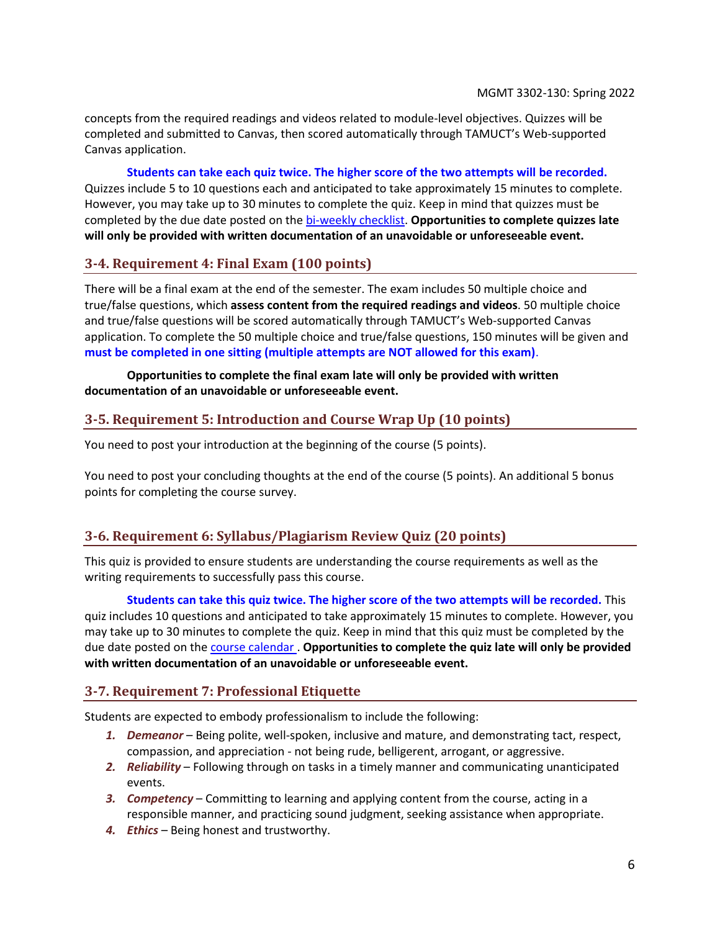concepts from the required readings and videos related to module-level objectives. Quizzes will be completed and submitted to Canvas, then scored automatically through TAMUCT's Web-supported Canvas application.

**Students can take each quiz twice. The higher score of the two attempts will be recorded.** Quizzes include 5 to 10 questions each and anticipated to take approximately 15 minutes to complete. However, you may take up to 30 minutes to complete the quiz. Keep in mind that quizzes must be completed by the due date posted on the [bi-weekly checklist.](#page-8-0) **Opportunities to complete quizzes late will only be provided with written documentation of an unavoidable or unforeseeable event.**

## **3-4. Requirement 4: Final Exam (100 points)**

There will be a final exam at the end of the semester. The exam includes 50 multiple choice and true/false questions, which **assess content from the required readings and videos**. 50 multiple choice and true/false questions will be scored automatically through TAMUCT's Web-supported Canvas application. To complete the 50 multiple choice and true/false questions, 150 minutes will be given and **must be completed in one sitting (multiple attempts are NOT allowed for this exam)**.

**Opportunities to complete the final exam late will only be provided with written documentation of an unavoidable or unforeseeable event.**

## **3-5. Requirement 5: Introduction and Course Wrap Up (10 points)**

You need to post your introduction at the beginning of the course (5 points).

You need to post your concluding thoughts at the end of the course (5 points). An additional 5 bonus points for completing the course survey.

## **3-6. Requirement 6: Syllabus/Plagiarism Review Quiz (20 points)**

This quiz is provided to ensure students are understanding the course requirements as well as the writing requirements to successfully pass this course.

**Students can take this quiz twice. The higher score of the two attempts will be recorded.** This quiz includes 10 questions and anticipated to take approximately 15 minutes to complete. However, you may take up to 30 minutes to complete the quiz. Keep in mind that this quiz must be completed by the due date posted on the [course calendar .](#page-8-0) **Opportunities to complete the quiz late will only be provided with written documentation of an unavoidable or unforeseeable event.**

## <span id="page-5-0"></span>**3-7. Requirement 7: Professional Etiquette**

Students are expected to embody professionalism to include the following:

- *1. Demeanor* Being polite, well-spoken, inclusive and mature, and demonstrating tact, respect, compassion, and appreciation - not being rude, belligerent, arrogant, or aggressive.
- *2. Reliability* Following through on tasks in a timely manner and communicating unanticipated events.
- *3. Competency* Committing to learning and applying content from the course, acting in a responsible manner, and practicing sound judgment, seeking assistance when appropriate.
- *4. Ethics* Being honest and trustworthy.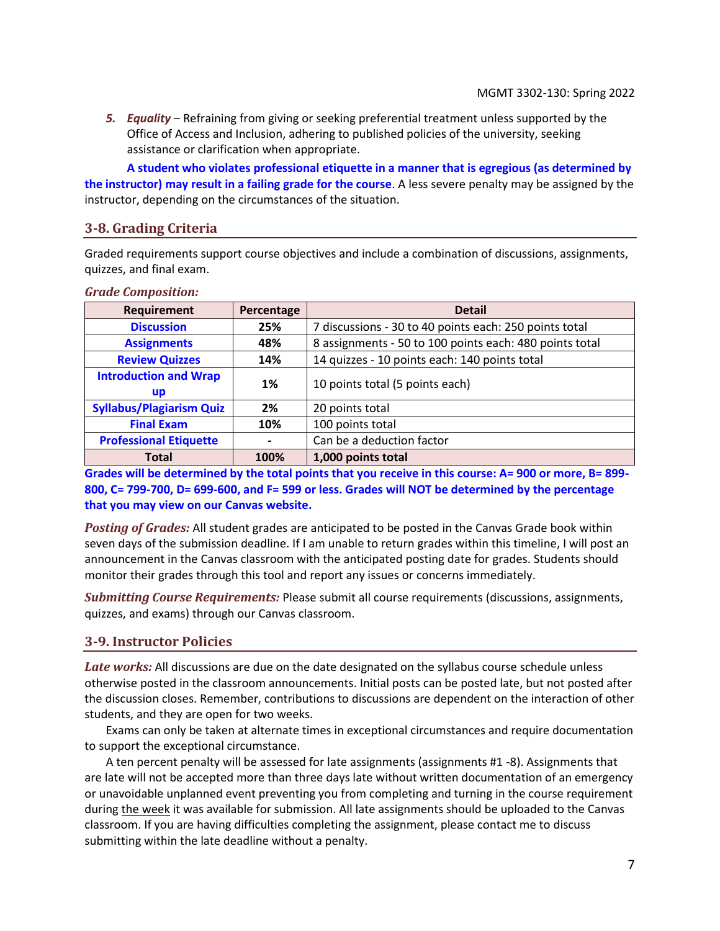*5. Equality* – Refraining from giving or seeking preferential treatment unless supported by the Office of Access and Inclusion, adhering to published policies of the university, seeking assistance or clarification when appropriate.

**A student who violates professional etiquette in a manner that is egregious (as determined by the instructor) may result in a failing grade for the course**. A less severe penalty may be assigned by the instructor, depending on the circumstances of the situation.

## <span id="page-6-1"></span>**3-8. Grading Criteria**

Graded requirements support course objectives and include a combination of discussions, assignments, quizzes, and final exam.

| <b>Requirement</b>                        | Percentage | <b>Detail</b>                                           |
|-------------------------------------------|------------|---------------------------------------------------------|
| <b>Discussion</b>                         | 25%        | 7 discussions - 30 to 40 points each: 250 points total  |
| <b>Assignments</b>                        | 48%        | 8 assignments - 50 to 100 points each: 480 points total |
| <b>Review Quizzes</b>                     | 14%        | 14 quizzes - 10 points each: 140 points total           |
| <b>Introduction and Wrap</b><br><b>up</b> | 1%         | 10 points total (5 points each)                         |
| <b>Syllabus/Plagiarism Quiz</b>           | 2%         | 20 points total                                         |
| <b>Final Exam</b>                         | 10%        | 100 points total                                        |
| <b>Professional Etiquette</b>             |            | Can be a deduction factor                               |
| <b>Total</b>                              | 100%       | 1,000 points total                                      |

#### *Grade Composition:*

**Grades will be determined by the total points that you receive in this course: A= 900 or more, B= 899- 800, C= 799-700, D= 699-600, and F= 599 or less. Grades will NOT be determined by the percentage that you may view on our Canvas website.**

*Posting of Grades:* All student grades are anticipated to be posted in the Canvas Grade book within seven days of the submission deadline. If I am unable to return grades within this timeline, I will post an announcement in the Canvas classroom with the anticipated posting date for grades. Students should monitor their grades through this tool and report any issues or concerns immediately.

*Submitting Course Requirements:* Please submit all course requirements (discussions, assignments, quizzes, and exams) through our Canvas classroom.

## <span id="page-6-0"></span>**3-9. Instructor Policies**

*Late works:* All discussions are due on the date designated on the syllabus course schedule unless otherwise posted in the classroom announcements. Initial posts can be posted late, but not posted after the discussion closes. Remember, contributions to discussions are dependent on the interaction of other students, and they are open for two weeks.

Exams can only be taken at alternate times in exceptional circumstances and require documentation to support the exceptional circumstance.

A ten percent penalty will be assessed for late assignments (assignments #1 -8). Assignments that are late will not be accepted more than three days late without written documentation of an emergency or unavoidable unplanned event preventing you from completing and turning in the course requirement during the week it was available for submission. All late assignments should be uploaded to the Canvas classroom. If you are having difficulties completing the assignment, please contact me to discuss submitting within the late deadline without a penalty.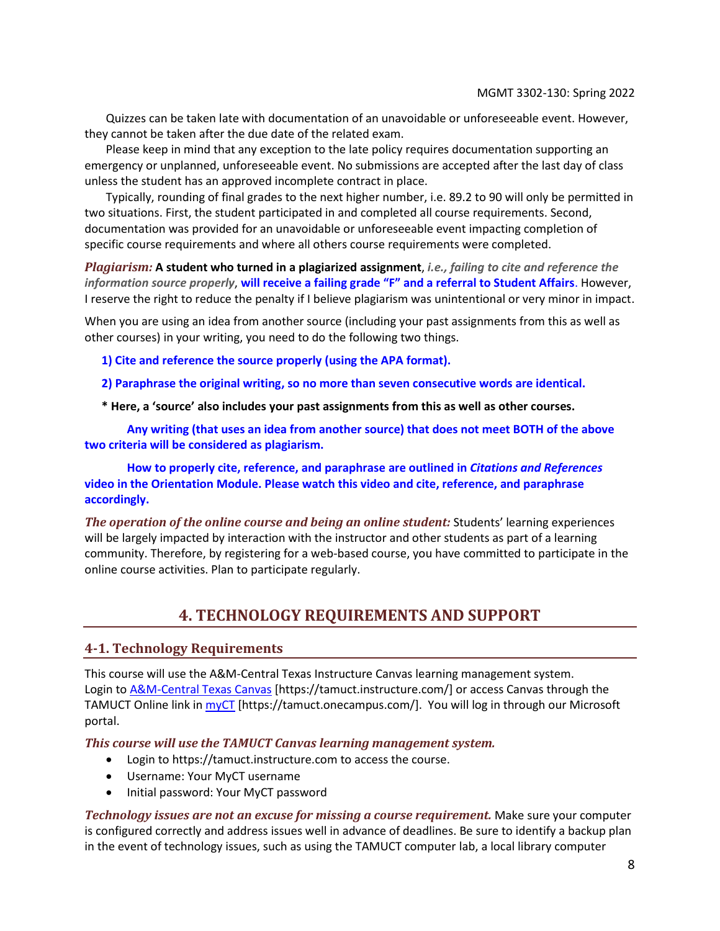Quizzes can be taken late with documentation of an unavoidable or unforeseeable event. However, they cannot be taken after the due date of the related exam.

Please keep in mind that any exception to the late policy requires documentation supporting an emergency or unplanned, unforeseeable event. No submissions are accepted after the last day of class unless the student has an approved incomplete contract in place.

Typically, rounding of final grades to the next higher number, i.e. 89.2 to 90 will only be permitted in two situations. First, the student participated in and completed all course requirements. Second, documentation was provided for an unavoidable or unforeseeable event impacting completion of specific course requirements and where all others course requirements were completed.

*Plagiarism:* **A student who turned in a plagiarized assignment**, *i.e., failing to cite and reference the information source properly*, **will receive a failing grade "F" and a referral to Student Affairs**. However, I reserve the right to reduce the penalty if I believe plagiarism was unintentional or very minor in impact.

When you are using an idea from another source (including your past assignments from this as well as other courses) in your writing, you need to do the following two things.

**1) Cite and reference the source properly (using the APA format).**

**2) Paraphrase the original writing, so no more than seven consecutive words are identical.**

**\* Here, a 'source' also includes your past assignments from this as well as other courses.**

**Any writing (that uses an idea from another source) that does not meet BOTH of the above two criteria will be considered as plagiarism.**

**How to properly cite, reference, and paraphrase are outlined in** *Citations and References* **video in the Orientation Module. Please watch this video and cite, reference, and paraphrase accordingly.** 

<span id="page-7-1"></span>*The operation of the online course and being an online student:* Students' learning experiences will be largely impacted by interaction with the instructor and other students as part of a learning community. Therefore, by registering for a web-based course, you have committed to participate in the online course activities. Plan to participate regularly.

## **4. TECHNOLOGY REQUIREMENTS AND SUPPORT**

## <span id="page-7-0"></span>**4-1. Technology Requirements**

This course will use the A&M-Central Texas Instructure Canvas learning management system. Login to [A&M-Central Texas Canvas](file:///C:/Users/becca/Downloads/tamuct.instructure.com) [https://tamuct.instructure.com/] or access Canvas through the TAMUCT Online link in [myCT](https://tamuct.onecampus.com/) [https://tamuct.onecampus.com/]. You will log in through our Microsoft portal.

*This course will use the TAMUCT Canvas learning management system.*

- Login to https://tamuct.instructure.com to access the course.
- Username: Your MyCT username
- Initial password: Your MyCT password

*Technology issues are not an excuse for missing a course requirement.* Make sure your computer is configured correctly and address issues well in advance of deadlines. Be sure to identify a backup plan in the event of technology issues, such as using the TAMUCT computer lab, a local library computer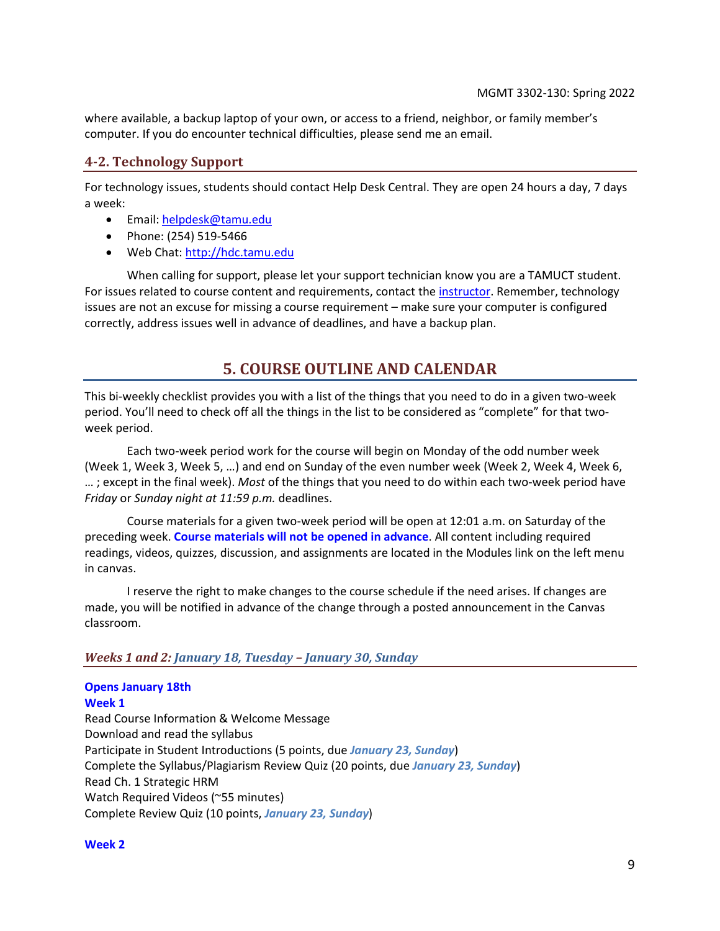where available, a backup laptop of your own, or access to a friend, neighbor, or family member's computer. If you do encounter technical difficulties, please send me an email.

## **4-2. Technology Support**

For technology issues, students should contact Help Desk Central. They are open 24 hours a day, 7 days a week:

- Email: [helpdesk@tamu.edu](mailto:helpdesk@tamu.edu)
- Phone: (254) 519-5466
- Web Chat[: http://hdc.tamu.edu](http://hdc.tamu.edu/)

When calling for support, please let your support technician know you are a TAMUCT student. For issues related to course content and requirements, contact the [instructor.](#page-0-0) Remember, technology issues are not an excuse for missing a course requirement – make sure your computer is configured correctly, address issues well in advance of deadlines, and have a backup plan.

## **5. COURSE OUTLINE AND CALENDAR**

<span id="page-8-0"></span>This bi-weekly checklist provides you with a list of the things that you need to do in a given two-week period. You'll need to check off all the things in the list to be considered as "complete" for that twoweek period.

Each two-week period work for the course will begin on Monday of the odd number week (Week 1, Week 3, Week 5, …) and end on Sunday of the even number week (Week 2, Week 4, Week 6, … ; except in the final week). *Most* of the things that you need to do within each two-week period have *Friday* or *Sunday night at 11:59 p.m.* deadlines.

Course materials for a given two-week period will be open at 12:01 a.m. on Saturday of the preceding week. **Course materials will not be opened in advance**. All content including required readings, videos, quizzes, discussion, and assignments are located in the Modules link on the left menu in canvas.

I reserve the right to make changes to the course schedule if the need arises. If changes are made, you will be notified in advance of the change through a posted announcement in the Canvas classroom.

## *Weeks 1 and 2: January 18, Tuesday – January 30, Sunday*

## **Opens January 18th Week 1** Read Course Information & Welcome Message Download and read the syllabus Participate in Student Introductions (5 points, due *January 23, Sunday*) Complete the Syllabus/Plagiarism Review Quiz (20 points, due *January 23, Sunday*) Read Ch. 1 Strategic HRM Watch Required Videos (~55 minutes) Complete Review Quiz (10 points, *January 23, Sunday*)

#### **Week 2**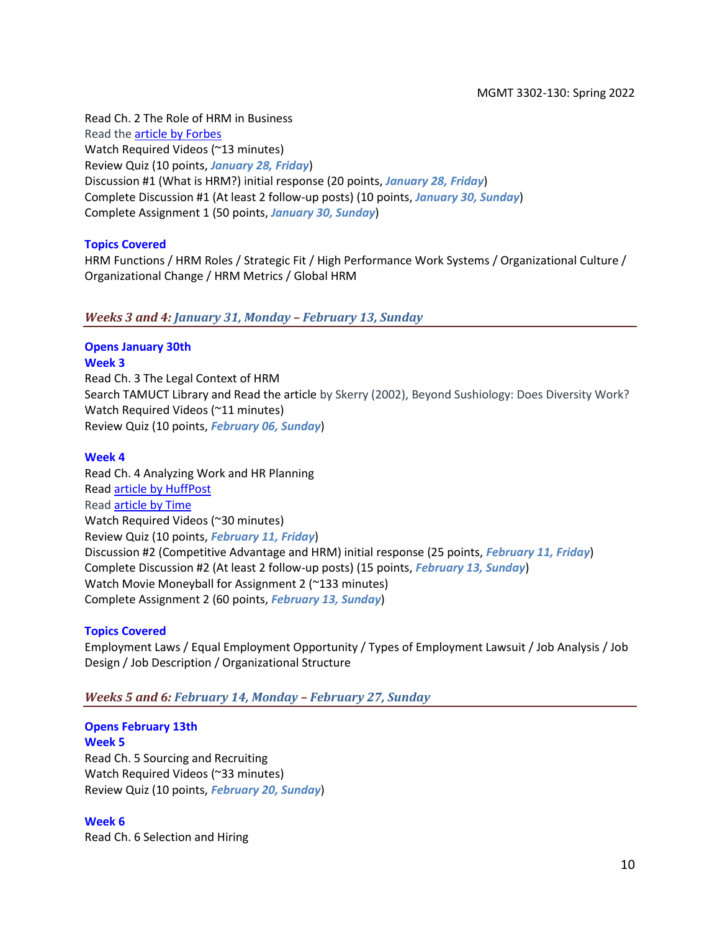Read Ch. 2 The Role of HRM in Business Read th[e article by Forbes](https://www.forbes.com/sites/forbeshumanresourcescouncil/2018/08/10/what-do-hr-professionals-really-do-eight-experts-dispel-common-myths/?sh=60e9577939c7) Watch Required Videos (~13 minutes) Review Quiz (10 points, *January 28, Friday*) Discussion #1 (What is HRM?) initial response (20 points, *January 28, Friday*) Complete Discussion #1 (At least 2 follow-up posts) (10 points, *January 30, Sunday*) Complete Assignment 1 (50 points, *January 30, Sunday*)

#### **Topics Covered**

HRM Functions / HRM Roles / Strategic Fit / High Performance Work Systems / Organizational Culture / Organizational Change / HRM Metrics / Global HRM

#### *Weeks 3 and 4: January 31, Monday – February 13, Sunday*

#### **Opens January 30th**

**Week 3** 

Read Ch. 3 The Legal Context of HRM Search TAMUCT Library and Read the article by Skerry (2002), Beyond Sushiology: Does Diversity Work? Watch Required Videos (~11 minutes) Review Quiz (10 points, *February 06, Sunday*)

#### **Week 4**

Read Ch. 4 Analyzing Work and HR Planning Read [article by HuffPost](https://www.huffpost.com/entry/telecommuting-the-pros-cons_b_8454260) Read [article by Time](https://business.time.com/2013/02/26/memo-read-round-the-world-yahoo-says-no-to-working-at-home/) Watch Required Videos (~30 minutes) Review Quiz (10 points, *February 11, Friday*) Discussion #2 (Competitive Advantage and HRM) initial response (25 points, *February 11, Friday*) Complete Discussion #2 (At least 2 follow-up posts) (15 points, *February 13, Sunday*) Watch Movie Moneyball for Assignment 2 (~133 minutes) Complete Assignment 2 (60 points, *February 13, Sunday*)

#### **Topics Covered**

Employment Laws / Equal Employment Opportunity / Types of Employment Lawsuit / Job Analysis / Job Design / Job Description / Organizational Structure

#### *Weeks 5 and 6: February 14, Monday – February 27, Sunday*

**Opens February 13th Week 5**

Read Ch. 5 Sourcing and Recruiting Watch Required Videos (~33 minutes) Review Quiz (10 points, *February 20, Sunday*)

#### **Week 6**

Read Ch. 6 Selection and Hiring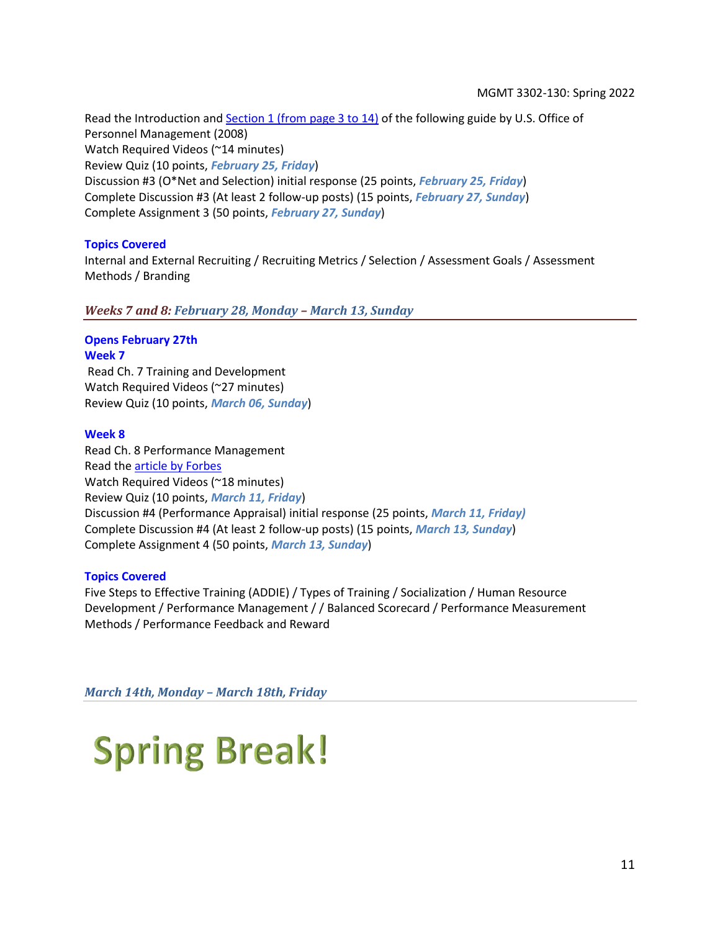Read the Introduction and [Section 1 \(from page 3 to 14\)](https://www.opm.gov/policy-data-oversight/assessment-and-selection/structured-interviews/guide.pdf) of the following guide by U.S. Office of Personnel Management (2008) Watch Required Videos (~14 minutes) Review Quiz (10 points, *February 25, Friday*) Discussion #3 (O\*Net and Selection) initial response (25 points, *February 25, Friday*) Complete Discussion #3 (At least 2 follow-up posts) (15 points, *February 27, Sunday*) Complete Assignment 3 (50 points, *February 27, Sunday*)

#### **Topics Covered**

Internal and External Recruiting / Recruiting Metrics / Selection / Assessment Goals / Assessment Methods / Branding

#### *Weeks 7 and 8: February 28, Monday – March 13, Sunday*

#### **Opens February 27th Week 7**

Read Ch. 7 Training and Development Watch Required Videos (~27 minutes) Review Quiz (10 points, *March 06, Sunday*)

#### **Week 8**

Read Ch. 8 Performance Management Read th[e article by Forbes](https://www.forbes.com/sites/markmurphy/2018/11/04/heres-why-you-still-need-to-conduct-performance-reviews-with-your-employees/?sh=6f5dd0a19f80) Watch Required Videos (~18 minutes) Review Quiz (10 points, *March 11, Friday*) Discussion #4 (Performance Appraisal) initial response (25 points, *March 11, Friday)* Complete Discussion #4 (At least 2 follow-up posts) (15 points, *March 13, Sunday*) Complete Assignment 4 (50 points, *March 13, Sunday*)

#### **Topics Covered**

Five Steps to Effective Training (ADDIE) / Types of Training / Socialization / Human Resource Development / Performance Management / / Balanced Scorecard / Performance Measurement Methods / Performance Feedback and Reward

*March 14th, Monday – March 18th, Friday* 

# **Spring Break!**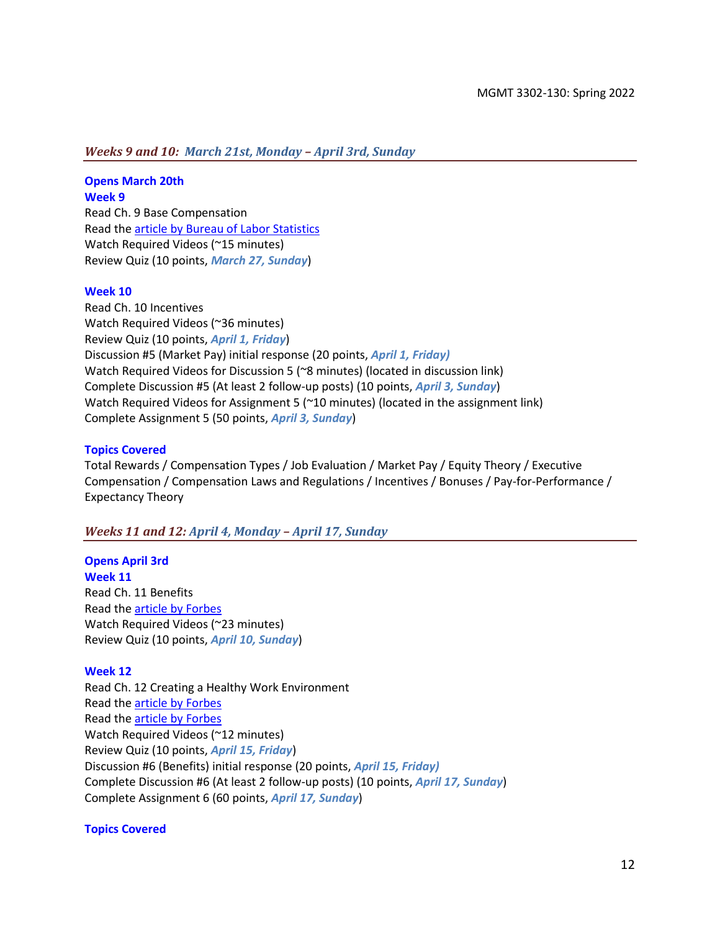#### *Weeks 9 and 10: March 21st, Monday – April 3rd, Sunday*

## **Opens March 20th**

#### **Week 9**

Read Ch. 9 Base Compensation Read th[e article by Bureau of Labor Statistics](https://www.bls.gov/news.release/pdf/ecec.pdf) Watch Required Videos (~15 minutes) Review Quiz (10 points, *March 27, Sunday*)

#### **Week 10**

Read Ch. 10 Incentives Watch Required Videos (~36 minutes) Review Quiz (10 points, *April 1, Friday*) Discussion #5 (Market Pay) initial response (20 points, *April 1, Friday)* Watch Required Videos for Discussion 5 (~8 minutes) (located in discussion link) Complete Discussion #5 (At least 2 follow-up posts) (10 points, *April 3, Sunday*) Watch Required Videos for Assignment 5 (~10 minutes) (located in the assignment link) Complete Assignment 5 (50 points, *April 3, Sunday*)

#### **Topics Covered**

Total Rewards / Compensation Types / Job Evaluation / Market Pay / Equity Theory / Executive Compensation / Compensation Laws and Regulations / Incentives / Bonuses / Pay-for-Performance / Expectancy Theory

#### *Weeks 11 and 12: April 4, Monday – April 17, Sunday*

## **Opens April 3rd Week 11** Read Ch. 11 Benefits

Read th[e article by Forbes](https://www.forbes.com/sites/financialfinesse/2018/09/16/should-you-choose-a-defined-benefit-or-defined-contribution-plan/?sh=428960d067ca) Watch Required Videos (~23 minutes) Review Quiz (10 points, *April 10, Sunday*)

#### **Week 12**

Read Ch. 12 Creating a Healthy Work Environment Read th[e article by](https://www.forbes.com/sites/forbescoachescouncil/2018/12/18/why-psychological-safety-is-necessary-for-a-competitive-advantage/?sh=5b6a75992647) Forbes Read th[e article by](https://www.forbes.com/sites/pavelkrapivin/2019/04/28/why-psychological-safety-is-vital-for-great-teams-and-happy-employees/?sh=46fba66227ff) Forbes Watch Required Videos (~12 minutes) Review Quiz (10 points, *April 15, Friday*) Discussion #6 (Benefits) initial response (20 points, *April 15, Friday)* Complete Discussion #6 (At least 2 follow-up posts) (10 points, *April 17, Sunday*) Complete Assignment 6 (60 points, *April 17, Sunday*)

#### **Topics Covered**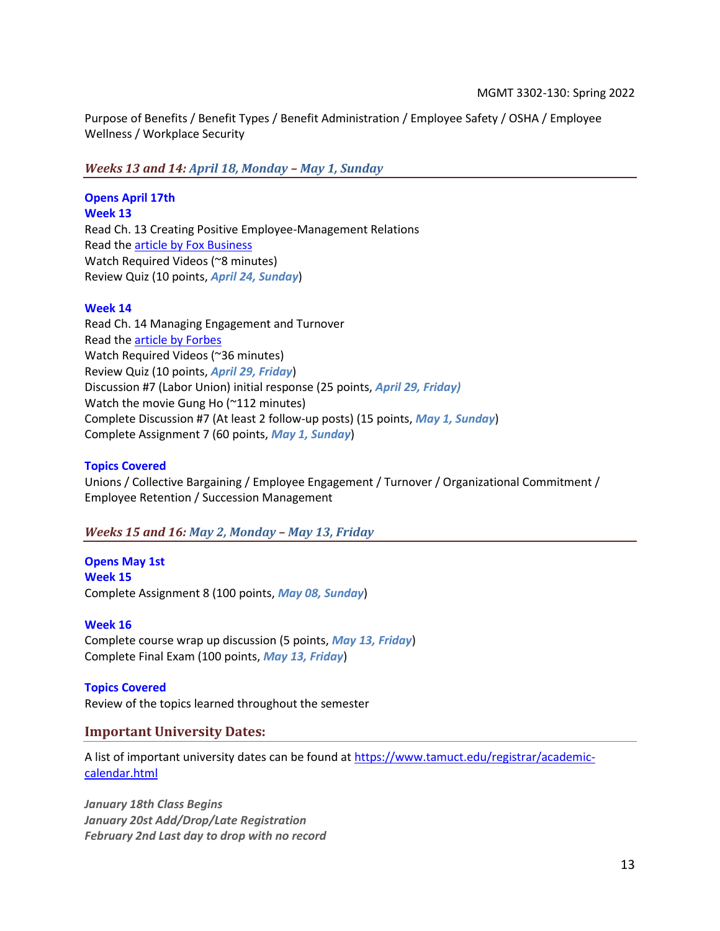Purpose of Benefits / Benefit Types / Benefit Administration / Employee Safety / OSHA / Employee Wellness / Workplace Security

#### *Weeks 13 and 14: April 18, Monday – May 1, Sunday*

## **Opens April 17th**

#### **Week 13**

Read Ch. 13 Creating Positive Employee-Management Relations Read th[e article by Fox Business](https://www.foxbusiness.com/features/the-pros-and-cons-of-joining-a-labor-union) Watch Required Videos (~8 minutes) Review Quiz (10 points, *April 24, Sunday*)

#### **Week 14**

Read Ch. 14 Managing Engagement and Turnover Read th[e article by Forbes](https://www.forbes.com/sites/forbeslacouncil/2019/06/03/why-low-employee-turnover-isnt-always-a-good-thing/?sh=ec53cdc618be) Watch Required Videos (~36 minutes) Review Quiz (10 points, *April 29, Friday*) Discussion #7 (Labor Union) initial response (25 points, *April 29, Friday)* Watch the movie Gung Ho (~112 minutes) Complete Discussion #7 (At least 2 follow-up posts) (15 points, *May 1, Sunday*) Complete Assignment 7 (60 points, *May 1, Sunday*)

#### **Topics Covered**

Unions / Collective Bargaining / Employee Engagement / Turnover / Organizational Commitment / Employee Retention / Succession Management

## *Weeks 15 and 16: May 2, Monday – May 13, Friday*

## **Opens May 1st Week 15** Complete Assignment 8 (100 points, *May 08, Sunday*)

#### **Week 16**

Complete course wrap up discussion (5 points, *May 13, Friday*) Complete Final Exam (100 points, *May 13, Friday*)

#### **Topics Covered**

Review of the topics learned throughout the semester

#### **Important University Dates:**

A list of important university dates can be found at [https://www.tamuct.edu/registrar/academic](https://www.tamuct.edu/registrar/academic-calendar.html)[calendar.html](https://www.tamuct.edu/registrar/academic-calendar.html)

*January 18th Class Begins January 20st Add/Drop/Late Registration February 2nd Last day to drop with no record*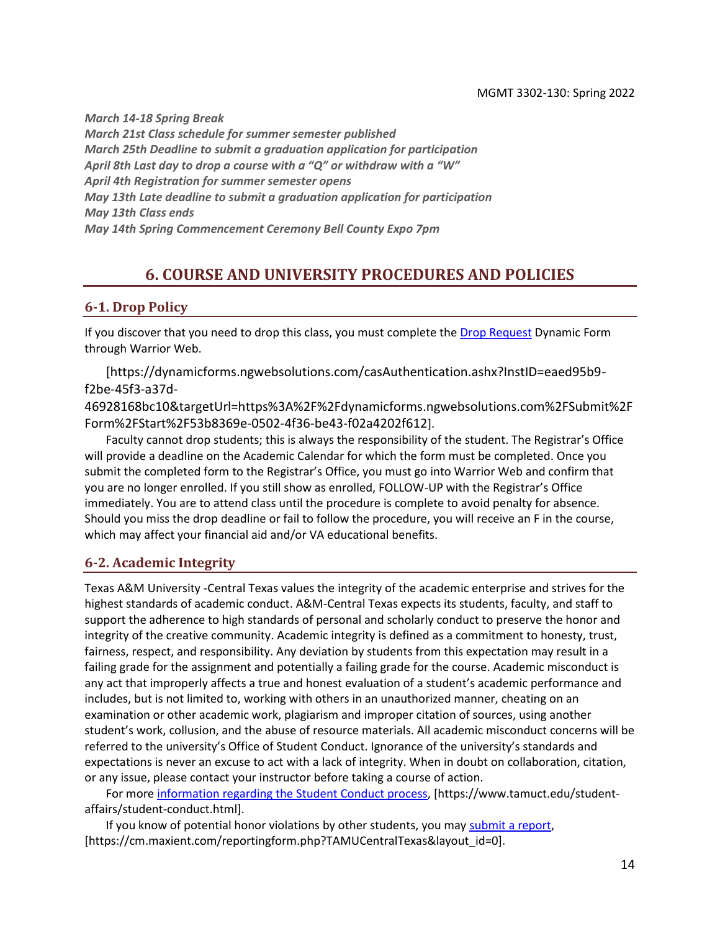*March 14-18 Spring Break March 21st Class schedule for summer semester published March 25th Deadline to submit a graduation application for participation April 8th Last day to drop a course with a "Q" or withdraw with a "W" April 4th Registration for summer semester opens May 13th Late deadline to submit a graduation application for participation May 13th Class ends May 14th Spring Commencement Ceremony Bell County Expo 7pm*

## **6. COURSE AND UNIVERSITY PROCEDURES AND POLICIES**

## <span id="page-13-0"></span>**6-1. Drop Policy**

If you discover that you need to drop this class, you must complete the [Drop Request](https://dynamicforms.ngwebsolutions.com/casAuthentication.ashx?InstID=eaed95b9-f2be-45f3-a37d-46928168bc10&targetUrl=https%3A%2F%2Fdynamicforms.ngwebsolutions.com%2FSubmit%2FForm%2FStart%2F53b8369e-0502-4f36-be43-f02a4202f612) Dynamic Form through Warrior Web.

[https://dynamicforms.ngwebsolutions.com/casAuthentication.ashx?InstID=eaed95b9 f2be-45f3-a37d-

46928168bc10&targetUrl=https%3A%2F%2Fdynamicforms.ngwebsolutions.com%2FSubmit%2F Form%2FStart%2F53b8369e-0502-4f36-be43-f02a4202f612].

Faculty cannot drop students; this is always the responsibility of the student. The Registrar's Office will provide a deadline on the Academic Calendar for which the form must be completed. Once you submit the completed form to the Registrar's Office, you must go into Warrior Web and confirm that you are no longer enrolled. If you still show as enrolled, FOLLOW-UP with the Registrar's Office immediately. You are to attend class until the procedure is complete to avoid penalty for absence. Should you miss the drop deadline or fail to follow the procedure, you will receive an F in the course, which may affect your financial aid and/or VA educational benefits.

#### **6-2. Academic Integrity**

Texas A&M University -Central Texas values the integrity of the academic enterprise and strives for the highest standards of academic conduct. A&M-Central Texas expects its students, faculty, and staff to support the adherence to high standards of personal and scholarly conduct to preserve the honor and integrity of the creative community. Academic integrity is defined as a commitment to honesty, trust, fairness, respect, and responsibility. Any deviation by students from this expectation may result in a failing grade for the assignment and potentially a failing grade for the course. Academic misconduct is any act that improperly affects a true and honest evaluation of a student's academic performance and includes, but is not limited to, working with others in an unauthorized manner, cheating on an examination or other academic work, plagiarism and improper citation of sources, using another student's work, collusion, and the abuse of resource materials. All academic misconduct concerns will be referred to the university's Office of Student Conduct. Ignorance of the university's standards and expectations is never an excuse to act with a lack of integrity. When in doubt on collaboration, citation, or any issue, please contact your instructor before taking a course of action.

For mor[e information regarding the Student Conduct process,](https://www.tamuct.edu/student-affairs/student-conduct.html) [https://www.tamuct.edu/studentaffairs/student-conduct.html].

If you know of potential honor violations by other students, you may [submit a report,](https://cm.maxient.com/reportingform.php?TAMUCentralTexas&layout_id=0) [https://cm.maxient.com/reportingform.php?TAMUCentralTexas&layout\_id=0].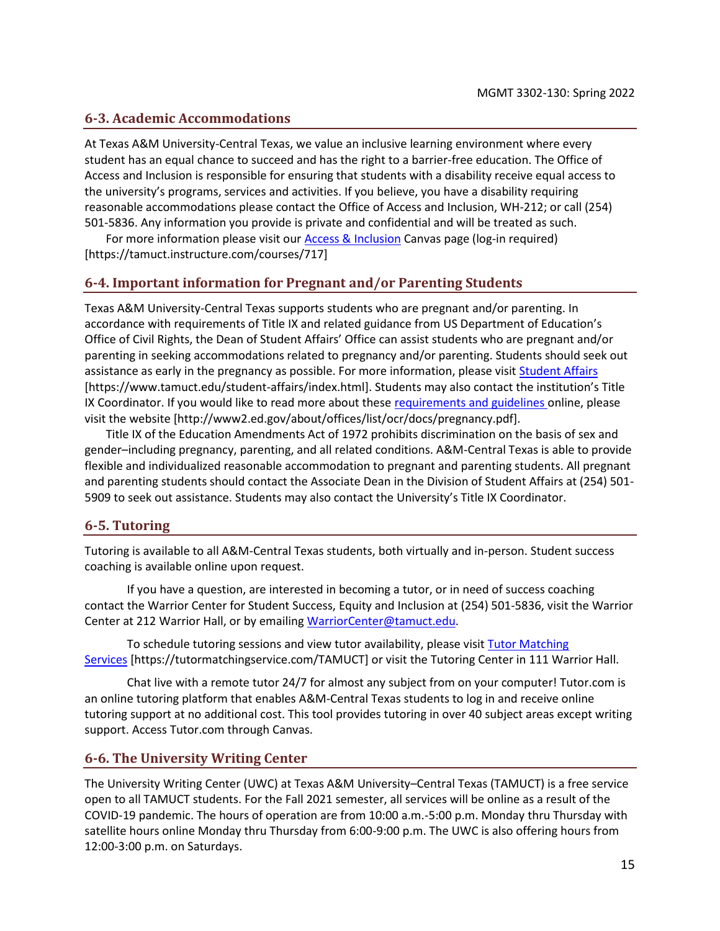## **6-3. Academic Accommodations**

At Texas A&M University-Central Texas, we value an inclusive learning environment where every student has an equal chance to succeed and has the right to a barrier-free education. The Office of Access and Inclusion is responsible for ensuring that students with a disability receive equal access to the university's programs, services and activities. If you believe, you have a disability requiring reasonable accommodations please contact the Office of Access and Inclusion, WH-212; or call (254) 501-5836. Any information you provide is private and confidential and will be treated as such.

For more information please visit our **Access & Inclusion Canvas page (log-in required)** [https://tamuct.instructure.com/courses/717]

#### **6-4. Important information for Pregnant and/or Parenting Students**

Texas A&M University-Central Texas supports students who are pregnant and/or parenting. In accordance with requirements of Title IX and related guidance from US Department of Education's Office of Civil Rights, the Dean of Student Affairs' Office can assist students who are pregnant and/or parenting in seeking accommodations related to pregnancy and/or parenting. Students should seek out assistance as early in the pregnancy as possible. For more information, please visi[t Student Affairs](https://www.tamuct.edu/student-affairs/index.html) [https://www.tamuct.edu/student-affairs/index.html]. Students may also contact the institution's Title IX Coordinator. If you would like to read more about these [requirements and guidelines](http://www2.ed.gov/about/offices/list/ocr/docs/pregnancy.pdf) online, please visit the website [http://www2.ed.gov/about/offices/list/ocr/docs/pregnancy.pdf].

Title IX of the Education Amendments Act of 1972 prohibits discrimination on the basis of sex and gender–including pregnancy, parenting, and all related conditions. A&M-Central Texas is able to provide flexible and individualized reasonable accommodation to pregnant and parenting students. All pregnant and parenting students should contact the Associate Dean in the Division of Student Affairs at (254) 501- 5909 to seek out assistance. Students may also contact the University's Title IX Coordinator.

#### **6-5. Tutoring**

Tutoring is available to all A&M-Central Texas students, both virtually and in-person. Student success coaching is available online upon request.

If you have a question, are interested in becoming a tutor, or in need of success coaching contact the Warrior Center for Student Success, Equity and Inclusion at (254) 501-5836, visit the Warrior Center at 212 Warrior Hall, or by emailing [WarriorCenter@tamuct.edu.](mailto:WarriorCenter@tamuct.edu)

To schedule tutoring sessions and view tutor availability, please visit Tutor [Matching](https://tutormatchingservice.com/TAMUCT) [Services](https://tutormatchingservice.com/TAMUCT) [https://tutormatchingservice.com/TAMUCT] or visit the Tutoring Center in 111 Warrior Hall.

Chat live with a remote tutor 24/7 for almost any subject from on your computer! Tutor.com is an online tutoring platform that enables A&M-Central Texas students to log in and receive online tutoring support at no additional cost. This tool provides tutoring in over 40 subject areas except writing support. Access Tutor.com through Canvas.

#### **6-6. The University Writing Center**

The University Writing Center (UWC) at Texas A&M University–Central Texas (TAMUCT) is a free service open to all TAMUCT students. For the Fall 2021 semester, all services will be online as a result of the COVID-19 pandemic. The hours of operation are from 10:00 a.m.-5:00 p.m. Monday thru Thursday with satellite hours online Monday thru Thursday from 6:00-9:00 p.m. The UWC is also offering hours from 12:00-3:00 p.m. on Saturdays.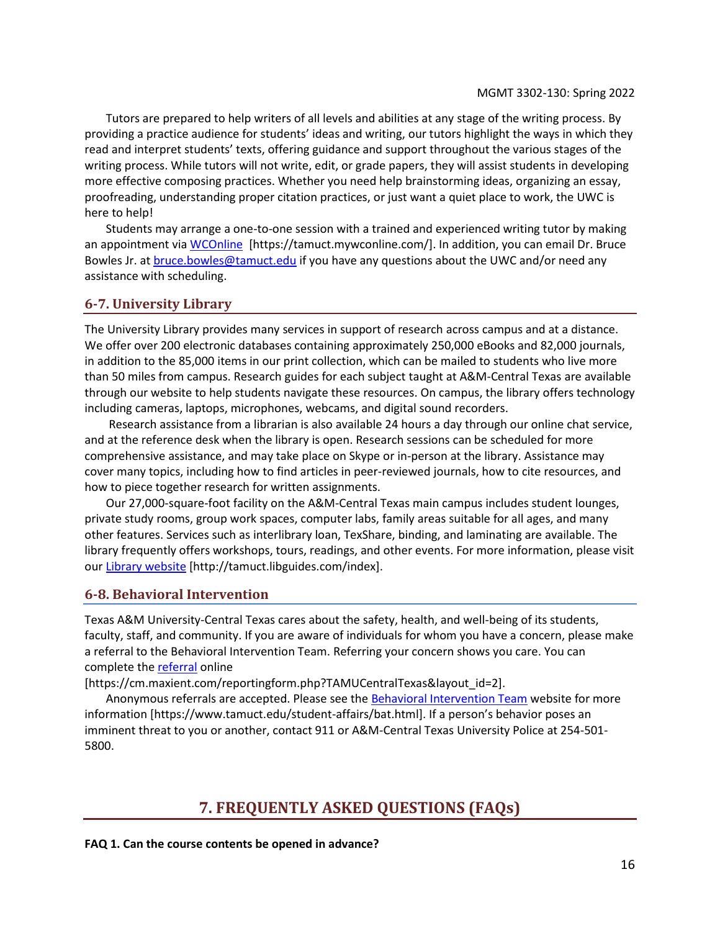Tutors are prepared to help writers of all levels and abilities at any stage of the writing process. By providing a practice audience for students' ideas and writing, our tutors highlight the ways in which they read and interpret students' texts, offering guidance and support throughout the various stages of the writing process. While tutors will not write, edit, or grade papers, they will assist students in developing more effective composing practices. Whether you need help brainstorming ideas, organizing an essay, proofreading, understanding proper citation practices, or just want a quiet place to work, the UWC is here to help!

Students may arrange a one-to-one session with a trained and experienced writing tutor by making an appointment vi[a WCOnline](https://tamuct.mywconline.com/) [https://tamuct.mywconline.com/]. In addition, you can email Dr. Bruce Bowles Jr. at **[bruce.bowles@tamuct.edu](mailto:bruce.bowles@tamuct.edu)** if you have any questions about the UWC and/or need any assistance with scheduling.

## **6-7. University Library**

<span id="page-15-0"></span>The University Library provides many services in support of research across campus and at a distance. We offer over 200 electronic databases containing approximately 250,000 eBooks and 82,000 journals, in addition to the 85,000 items in our print collection, which can be mailed to students who live more than 50 miles from campus. Research guides for each subject taught at A&M-Central Texas are available through our website to help students navigate these resources. On campus, the library offers technology including cameras, laptops, microphones, webcams, and digital sound recorders.

Research assistance from a librarian is also available 24 hours a day through our online chat service, and at the reference desk when the library is open. Research sessions can be scheduled for more comprehensive assistance, and may take place on Skype or in-person at the library. Assistance may cover many topics, including how to find articles in peer-reviewed journals, how to cite resources, and how to piece together research for written assignments.

Our 27,000-square-foot facility on the A&M-Central Texas main campus includes student lounges, private study rooms, group work spaces, computer labs, family areas suitable for all ages, and many other features. Services such as interlibrary loan, TexShare, binding, and laminating are available. The library frequently offers workshops, tours, readings, and other events. For more information, please visit our Library [website](https://tamuct.libguides.com/index) [http://tamuct.libguides.com/index].

## **6-8. Behavioral Intervention**

Texas A&M University-Central Texas cares about the safety, health, and well-being of its students, faculty, staff, and community. If you are aware of individuals for whom you have a concern, please make a referral to the Behavioral Intervention Team. Referring your concern shows you care. You can complete the [referral](https://cm.maxient.com/reportingform.php?TAMUCentralTexas&layout_id=2) online

[https://cm.maxient.com/reportingform.php?TAMUCentralTexas&layout\_id=2].

Anonymous referrals are accepted. Please see th[e Behavioral Intervention Team](https://www.tamuct.edu/student-affairs/bat.html) website for more information [https://www.tamuct.edu/student-affairs/bat.html]. If a person's behavior poses an imminent threat to you or another, contact 911 or A&M-Central Texas University Police at 254-501- 5800.

## **7. FREQUENTLY ASKED QUESTIONS (FAQs)**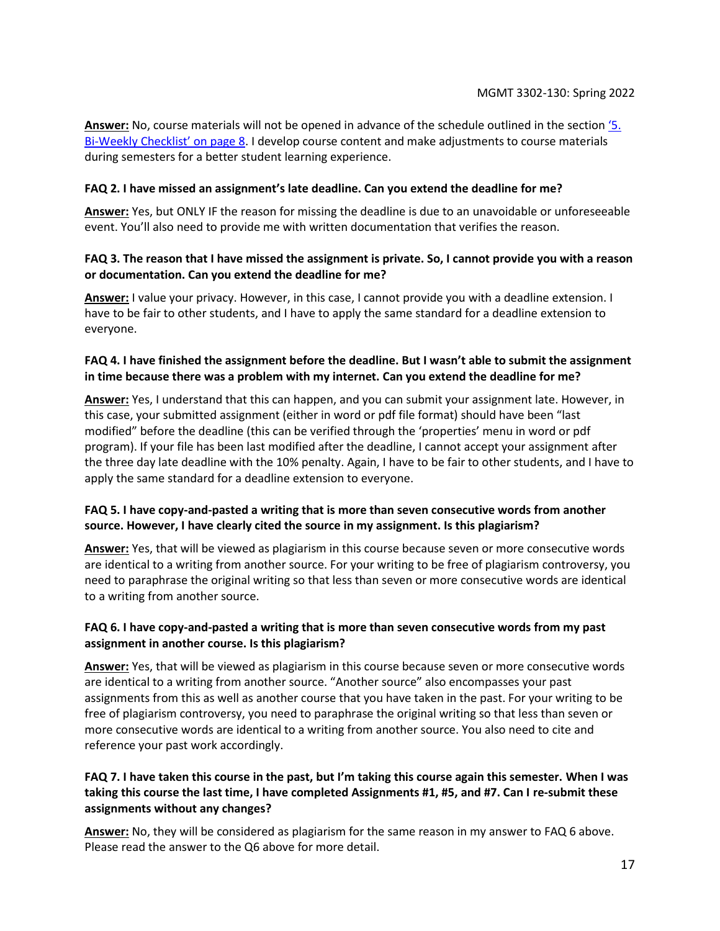**Answer:** No, course materials will not be opened in advance of the schedule outlined in the section ['5](#page-8-0). Bi-[Weekly Checklist' on page](#page-8-0) 8. I develop course content and make adjustments to course materials during semesters for a better student learning experience.

## **FAQ 2. I have missed an assignment's late deadline. Can you extend the deadline for me?**

**Answer:** Yes, but ONLY IF the reason for missing the deadline is due to an unavoidable or unforeseeable event. You'll also need to provide me with written documentation that verifies the reason.

## **FAQ 3. The reason that I have missed the assignment is private. So, I cannot provide you with a reason or documentation. Can you extend the deadline for me?**

**Answer:** I value your privacy. However, in this case, I cannot provide you with a deadline extension. I have to be fair to other students, and I have to apply the same standard for a deadline extension to everyone.

## **FAQ 4. I have finished the assignment before the deadline. But I wasn't able to submit the assignment in time because there was a problem with my internet. Can you extend the deadline for me?**

**Answer:** Yes, I understand that this can happen, and you can submit your assignment late. However, in this case, your submitted assignment (either in word or pdf file format) should have been "last modified" before the deadline (this can be verified through the 'properties' menu in word or pdf program). If your file has been last modified after the deadline, I cannot accept your assignment after the three day late deadline with the 10% penalty. Again, I have to be fair to other students, and I have to apply the same standard for a deadline extension to everyone.

## **FAQ 5. I have copy-and-pasted a writing that is more than seven consecutive words from another source. However, I have clearly cited the source in my assignment. Is this plagiarism?**

**Answer:** Yes, that will be viewed as plagiarism in this course because seven or more consecutive words are identical to a writing from another source. For your writing to be free of plagiarism controversy, you need to paraphrase the original writing so that less than seven or more consecutive words are identical to a writing from another source.

## **FAQ 6. I have copy-and-pasted a writing that is more than seven consecutive words from my past assignment in another course. Is this plagiarism?**

**Answer:** Yes, that will be viewed as plagiarism in this course because seven or more consecutive words are identical to a writing from another source. "Another source" also encompasses your past assignments from this as well as another course that you have taken in the past. For your writing to be free of plagiarism controversy, you need to paraphrase the original writing so that less than seven or more consecutive words are identical to a writing from another source. You also need to cite and reference your past work accordingly.

## **FAQ 7. I have taken this course in the past, but I'm taking this course again this semester. When I was taking this course the last time, I have completed Assignments #1, #5, and #7. Can I re-submit these assignments without any changes?**

**Answer:** No, they will be considered as plagiarism for the same reason in my answer to FAQ 6 above. Please read the answer to the Q6 above for more detail.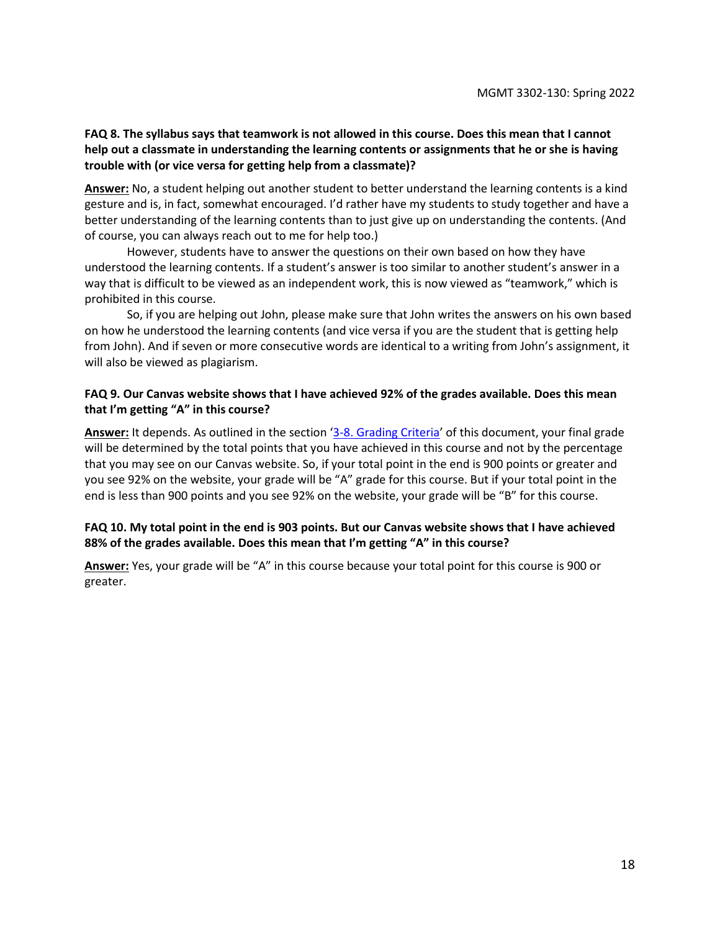## **FAQ 8. The syllabus says that teamwork is not allowed in this course. Does this mean that I cannot help out a classmate in understanding the learning contents or assignments that he or she is having trouble with (or vice versa for getting help from a classmate)?**

**Answer:** No, a student helping out another student to better understand the learning contents is a kind gesture and is, in fact, somewhat encouraged. I'd rather have my students to study together and have a better understanding of the learning contents than to just give up on understanding the contents. (And of course, you can always reach out to me for help too.)

However, students have to answer the questions on their own based on how they have understood the learning contents. If a student's answer is too similar to another student's answer in a way that is difficult to be viewed as an independent work, this is now viewed as "teamwork," which is prohibited in this course.

So, if you are helping out John, please make sure that John writes the answers on his own based on how he understood the learning contents (and vice versa if you are the student that is getting help from John). And if seven or more consecutive words are identical to a writing from John's assignment, it will also be viewed as plagiarism.

## **FAQ 9. Our Canvas website shows that I have achieved 92% of the grades available. Does this mean that I'm getting "A" in this course?**

**Answer:** It depends. As outlined in the section '[3-8. Grading Criteria](#page-6-1)' of this document, your final grade will be determined by the total points that you have achieved in this course and not by the percentage that you may see on our Canvas website. So, if your total point in the end is 900 points or greater and you see 92% on the website, your grade will be "A" grade for this course. But if your total point in the end is less than 900 points and you see 92% on the website, your grade will be "B" for this course.

## **FAQ 10. My total point in the end is 903 points. But our Canvas website shows that I have achieved 88% of the grades available. Does this mean that I'm getting "A" in this course?**

**Answer:** Yes, your grade will be "A" in this course because your total point for this course is 900 or greater.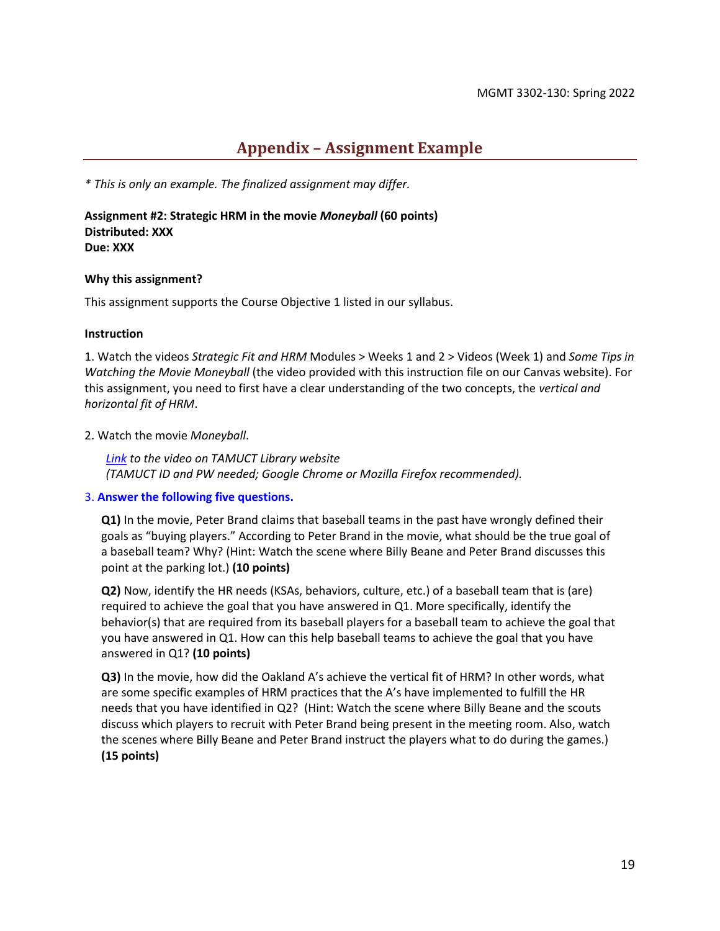## **Appendix – Assignment Example**

<span id="page-18-0"></span>*\* This is only an example. The finalized assignment may differ.*

**Assignment #2: Strategic HRM in the movie** *Moneyball* **(60 points) Distributed: XXX Due: XXX**

#### **Why this assignment?**

This assignment supports the Course Objective 1 listed in our syllabus.

#### **Instruction**

1. Watch the videos *Strategic Fit and HRM* Modules > Weeks 1 and 2 > Videos (Week 1) and *Some Tips in Watching the Movie Moneyball* (the video provided with this instruction file on our Canvas website). For this assignment, you need to first have a clear understanding of the two concepts, the *vertical and horizontal fit of HRM*.

#### 2. Watch the movie *Moneyball*.

*Link to the video on TAMUCT Library website (TAMUCT ID and PW needed; Google Chrome or Mozilla Firefox recommended).*

#### 3. **Answer the following five questions.**

**Q1)** In the movie, Peter Brand claims that baseball teams in the past have wrongly defined their goals as "buying players." According to Peter Brand in the movie, what should be the true goal of a baseball team? Why? (Hint: Watch the scene where Billy Beane and Peter Brand discusses this point at the parking lot.) **(10 points)**

**Q2)** Now, identify the HR needs (KSAs, behaviors, culture, etc.) of a baseball team that is (are) required to achieve the goal that you have answered in Q1. More specifically, identify the behavior(s) that are required from its baseball players for a baseball team to achieve the goal that you have answered in Q1. How can this help baseball teams to achieve the goal that you have answered in Q1? **(10 points)**

**Q3)** In the movie, how did the Oakland A's achieve the vertical fit of HRM? In other words, what are some specific examples of HRM practices that the A's have implemented to fulfill the HR needs that you have identified in Q2? (Hint: Watch the scene where Billy Beane and the scouts discuss which players to recruit with Peter Brand being present in the meeting room. Also, watch the scenes where Billy Beane and Peter Brand instruct the players what to do during the games.) **(15 points)**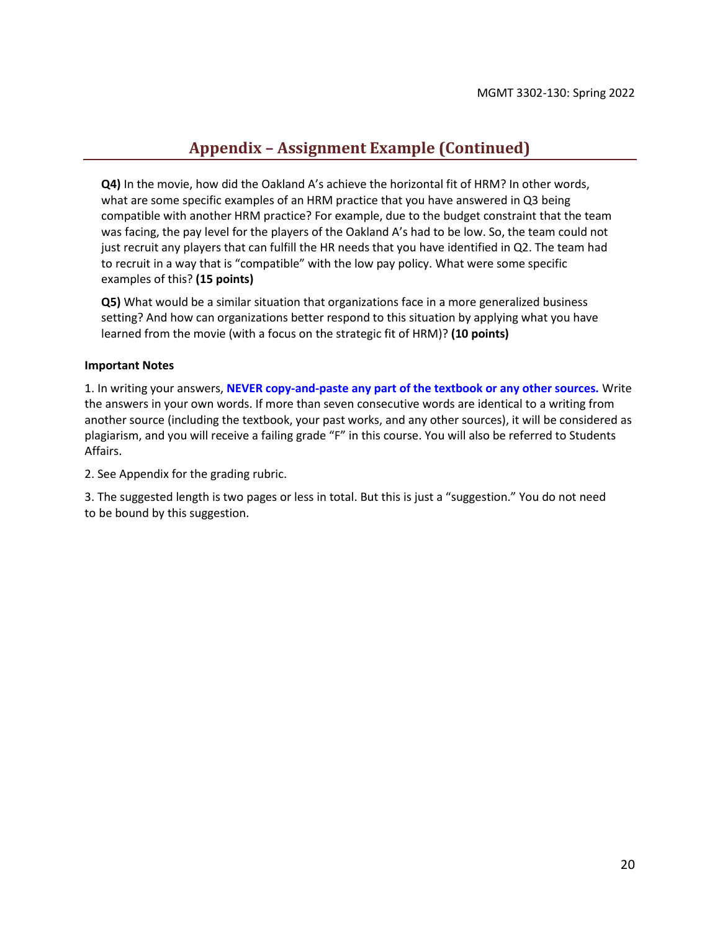## **Appendix – Assignment Example (Continued)**

**Q4)** In the movie, how did the Oakland A's achieve the horizontal fit of HRM? In other words, what are some specific examples of an HRM practice that you have answered in Q3 being compatible with another HRM practice? For example, due to the budget constraint that the team was facing, the pay level for the players of the Oakland A's had to be low. So, the team could not just recruit any players that can fulfill the HR needs that you have identified in Q2. The team had to recruit in a way that is "compatible" with the low pay policy. What were some specific examples of this? **(15 points)**

**Q5)** What would be a similar situation that organizations face in a more generalized business setting? And how can organizations better respond to this situation by applying what you have learned from the movie (with a focus on the strategic fit of HRM)? **(10 points)**

#### **Important Notes**

1. In writing your answers, **NEVER copy-and-paste any part of the textbook or any other sources.** Write the answers in your own words. If more than seven consecutive words are identical to a writing from another source (including the textbook, your past works, and any other sources), it will be considered as plagiarism, and you will receive a failing grade "F" in this course. You will also be referred to Students Affairs.

2. See Appendix for the grading rubric.

3. The suggested length is two pages or less in total. But this is just a "suggestion." You do not need to be bound by this suggestion.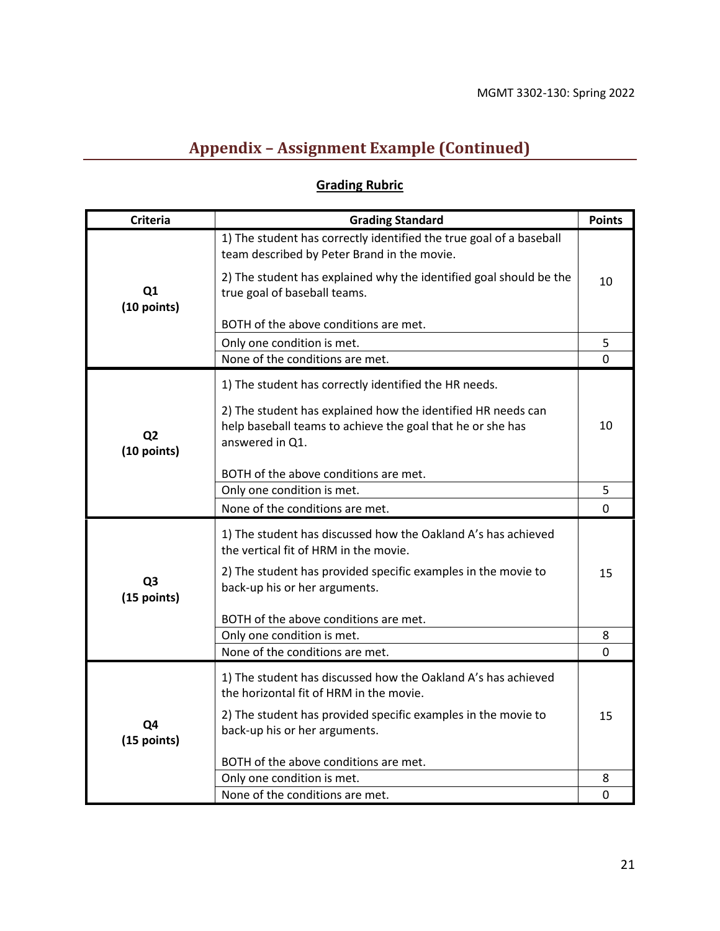# **Appendix – Assignment Example (Continued)**

# **Grading Rubric**

| <b>Criteria</b>               | <b>Grading Standard</b>                                                                                                                       | <b>Points</b> |
|-------------------------------|-----------------------------------------------------------------------------------------------------------------------------------------------|---------------|
| Q1<br>(10 points)             | 1) The student has correctly identified the true goal of a baseball<br>team described by Peter Brand in the movie.                            |               |
|                               | 2) The student has explained why the identified goal should be the<br>true goal of baseball teams.                                            | 10            |
|                               | BOTH of the above conditions are met.                                                                                                         |               |
|                               | Only one condition is met.                                                                                                                    | 5             |
|                               | None of the conditions are met.                                                                                                               | 0             |
| Q <sub>2</sub><br>(10 points) | 1) The student has correctly identified the HR needs.                                                                                         |               |
|                               | 2) The student has explained how the identified HR needs can<br>help baseball teams to achieve the goal that he or she has<br>answered in Q1. | 10            |
|                               | BOTH of the above conditions are met.                                                                                                         |               |
|                               | Only one condition is met.                                                                                                                    | 5             |
|                               | None of the conditions are met.                                                                                                               | 0             |
| Q <sub>3</sub><br>(15 points) | 1) The student has discussed how the Oakland A's has achieved<br>the vertical fit of HRM in the movie.                                        |               |
|                               | 2) The student has provided specific examples in the movie to<br>back-up his or her arguments.                                                | 15            |
|                               | BOTH of the above conditions are met.                                                                                                         |               |
|                               | Only one condition is met.                                                                                                                    | 8             |
|                               | None of the conditions are met.                                                                                                               | 0             |
| Q4<br>(15 points)             | 1) The student has discussed how the Oakland A's has achieved<br>the horizontal fit of HRM in the movie.                                      |               |
|                               | 2) The student has provided specific examples in the movie to<br>back-up his or her arguments.                                                | 15            |
|                               | BOTH of the above conditions are met.                                                                                                         |               |
|                               | Only one condition is met.                                                                                                                    | 8             |
|                               | None of the conditions are met.                                                                                                               | 0             |